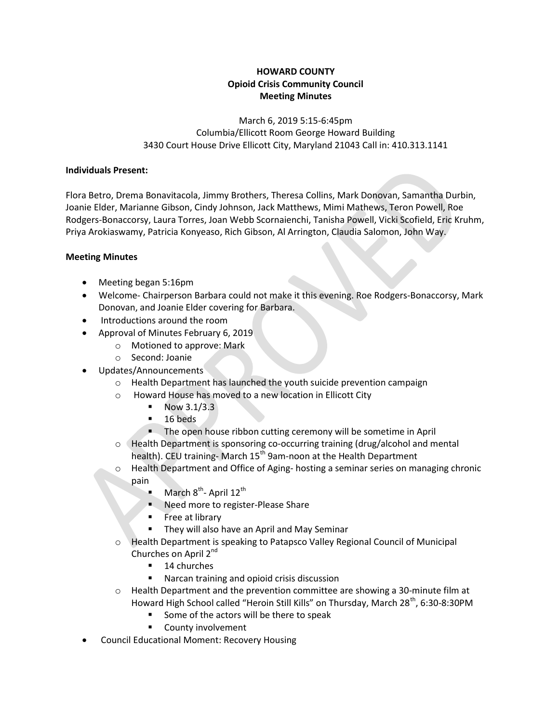## HOWARD COUNTY Opioid Crisis Community Council Meeting Minutes

March 6, 2019 5:15-6:45pm Columbia/Ellicott Room George Howard Building 3430 Court House Drive Ellicott City, Maryland 21043 Call in: 410.313.1141

## Individuals Present:

Flora Betro, Drema Bonavitacola, Jimmy Brothers, Theresa Collins, Mark Donovan, Samantha Durbin, Joanie Elder, Marianne Gibson, Cindy Johnson, Jack Matthews, Mimi Mathews, Teron Powell, Roe Rodgers-Bonaccorsy, Laura Torres, Joan Webb Scornaienchi, Tanisha Powell, Vicki Scofield, Eric Kruhm, Priya Arokiaswamy, Patricia Konyeaso, Rich Gibson, Al Arrington, Claudia Salomon, John Way.

## Meeting Minutes

- Meeting began 5:16pm
- Welcome- Chairperson Barbara could not make it this evening. Roe Rodgers-Bonaccorsy, Mark Donovan, and Joanie Elder covering for Barbara.
- Introductions around the room
- Approval of Minutes February 6, 2019
	- o Motioned to approve: Mark
	- o Second: Joanie
- Updates/Announcements
	- o Health Department has launched the youth suicide prevention campaign
	- o Howard House has moved to a new location in Ellicott City
		- $\blacksquare$  Now 3.1/3.3
		- $\blacksquare$  16 beds
		- **The open house ribbon cutting ceremony will be sometime in April**
	- o Health Department is sponsoring co-occurring training (drug/alcohol and mental health). CEU training-March 15<sup>th</sup> 9am-noon at the Health Department
	- o Health Department and Office of Aging- hosting a seminar series on managing chronic pain
		- March  $8^{th}$  April 12<sup>th</sup>
		- **Need more to register-Please Share**
		- $\blacksquare$  Free at library
		- **They will also have an April and May Seminar**
	- o Health Department is speaking to Patapsco Valley Regional Council of Municipal Churches on April 2<sup>nd</sup>
		- **14** churches
		- Narcan training and opioid crisis discussion
	- o Health Department and the prevention committee are showing a 30-minute film at Howard High School called "Heroin Still Kills" on Thursday, March 28<sup>th</sup>, 6:30-8:30PM
		- Some of the actors will be there to speak
		- **County involvement**
- Council Educational Moment: Recovery Housing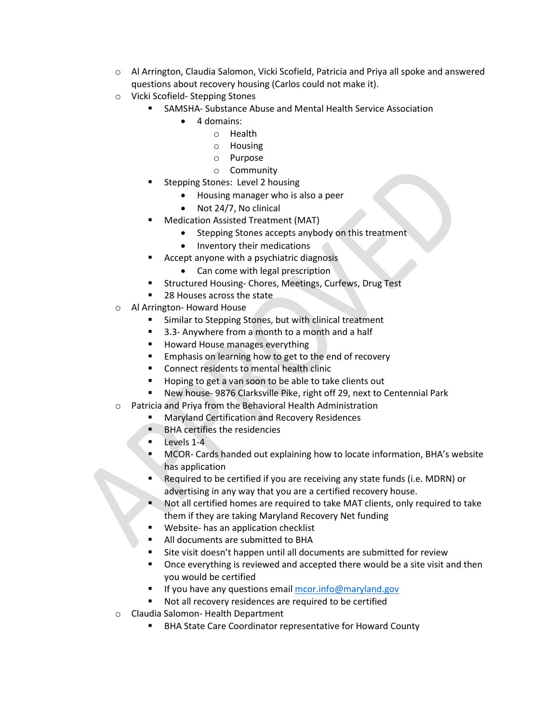- o Al Arrington, Claudia Salomon, Vicki Scofield, Patricia and Priya all spoke and answered questions about recovery housing (Carlos could not make it).
- o Vicki Scofield- Stepping Stones
	- SAMSHA- Substance Abuse and Mental Health Service Association
		- 4 domains:
			- o Health
			- o Housing
			- o Purpose
			- o Community
	- Stepping Stones: Level 2 housing
		- Housing manager who is also a peer
		- Not 24/7, No clinical
	- Medication Assisted Treatment (MAT)
		- Stepping Stones accepts anybody on this treatment
		- Inventory their medications
	- Accept anyone with a psychiatric diagnosis
		- Can come with legal prescription
	- Structured Housing- Chores, Meetings, Curfews, Drug Test
	- 28 Houses across the state
- o Al Arrington- Howard House
	- **EXECUTE:** Similar to Stepping Stones, but with clinical treatment
	- 3.3- Anywhere from a month to a month and a half
	- **Howard House manages everything**
	- **Emphasis on learning how to get to the end of recovery**
	- Connect residents to mental health clinic
	- Hoping to get a van soon to be able to take clients out
	- New house- 9876 Clarksville Pike, right off 29, next to Centennial Park
- o Patricia and Priya from the Behavioral Health Administration
	- Maryland Certification and Recovery Residences
		- **BHA certifies the residencies**
		- **Levels 1-4**
		- MCOR- Cards handed out explaining how to locate information, BHA's website has application
		- Required to be certified if you are receiving any state funds (i.e. MDRN) or advertising in any way that you are a certified recovery house.
		- Not all certified homes are required to take MAT clients, only required to take them if they are taking Maryland Recovery Net funding
		- Website- has an application checklist
		- All documents are submitted to BHA
		- Site visit doesn't happen until all documents are submitted for review
		- Once everything is reviewed and accepted there would be a site visit and then you would be certified
		- If you have any questions email  $mcor.info@maryland.gov$
		- Not all recovery residences are required to be certified
- o Claudia Salomon- Health Department
	- **BHA State Care Coordinator representative for Howard County**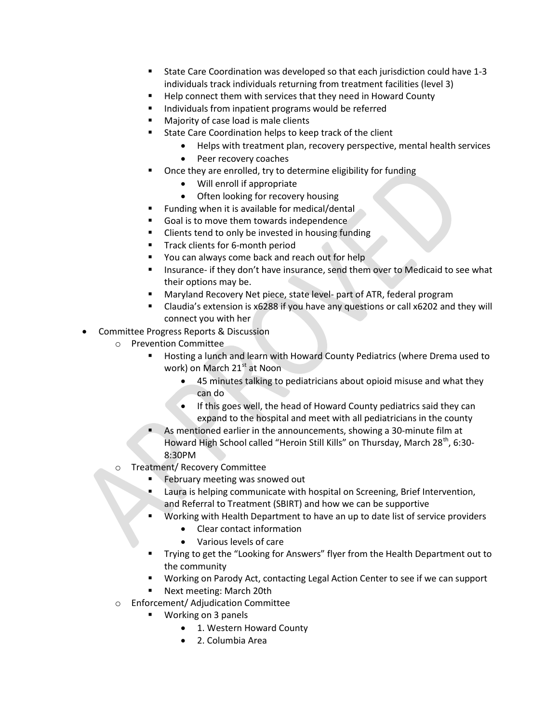- State Care Coordination was developed so that each jurisdiction could have 1-3 individuals track individuals returning from treatment facilities (level 3)
- Help connect them with services that they need in Howard County
- Individuals from inpatient programs would be referred
- Majority of case load is male clients
	- State Care Coordination helps to keep track of the client
		- Helps with treatment plan, recovery perspective, mental health services
			- Peer recovery coaches
- Once they are enrolled, try to determine eligibility for funding
	- Will enroll if appropriate
	- Often looking for recovery housing
- **Funding when it is available for medical/dental**
- Goal is to move them towards independence
- **EXEC** Clients tend to only be invested in housing funding
- Track clients for 6-month period
- **Vou can always come back and reach out for help**
- **Insurance- if they don't have insurance, send them over to Medicaid to see what** their options may be.
- Maryland Recovery Net piece, state level- part of ATR, federal program
- Claudia's extension is x6288 if you have any questions or call x6202 and they will connect you with her
- Committee Progress Reports & Discussion
	- o Prevention Committee
		- Hosting a lunch and learn with Howard County Pediatrics (where Drema used to work) on March 21<sup>st</sup> at Noon
			- 45 minutes talking to pediatricians about opioid misuse and what they can do
			- If this goes well, the head of Howard County pediatrics said they can expand to the hospital and meet with all pediatricians in the county
		- As mentioned earlier in the announcements, showing a 30-minute film at Howard High School called "Heroin Still Kills" on Thursday, March 28<sup>th</sup>, 6:30-8:30PM
	- o Treatment/ Recovery Committee
		- February meeting was snowed out
		- Laura is helping communicate with hospital on Screening, Brief Intervention, and Referral to Treatment (SBIRT) and how we can be supportive
		- Working with Health Department to have an up to date list of service providers
			- Clear contact information
			- Various levels of care
		- Trying to get the "Looking for Answers" flyer from the Health Department out to the community
		- Working on Parody Act, contacting Legal Action Center to see if we can support
		- Next meeting: March 20th
	- o Enforcement/ Adjudication Committee
		- **Working on 3 panels** 
			- 1. Western Howard County
			- 2. Columbia Area